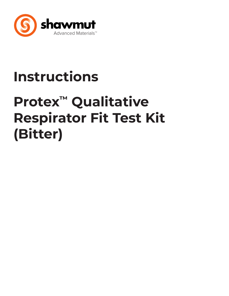

# **Instructions**

# **Protex™ Qualitative Respirator Fit Test Kit (Bitter)**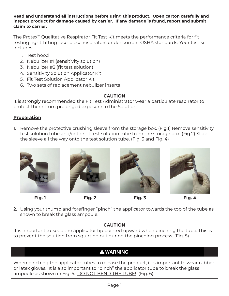### **Read and understand all instructions before using this product. Open carton carefully and inspect product for damage caused by carrier. If any damage is found, report and submit claim to carrier.**

The Protex™ Qualitative Respirator Fit Test Kit meets the performance criteria for fit testing tight-fitting face-piece respirators under current OSHA standards. Your test kit includes:

- 1. Test hood
- 2. Nebulizer #1 (sensitivity solution)
- 3. Nebulizer #2 (fit test solution)
- 4. Sensitivity Solution Applicator Kit
- 5. Fit Test Solution Applicator Kit
- 6. Two sets of replacement nebulizer inserts

# **CAUTION**

It is strongly recommended the Fit Test Administrator wear a particulate respirator to protect them from prolonged exposure to the Solution.

# **Preparation**

1. Remove the protective crushing sleeve from the storage box. (Fig.1) Remove sensitivity test solution tube and/or the fit test solution tube from the storage box. (Fig.2) Slide the sleeve all the way onto the test solution tube. (Fig. 3 and Fig. 4)



**Fig. 1 Fig. 2 Fig. 3 Fig. 4**







- 
- 2. Using your thumb and forefinger "pinch" the applicator towards the top of the tube as shown to break the glass ampoule.

# **CAUTION**

It is important to keep the applicator tip pointed upward when pinching the tube. This is to prevent the solution from squirting out during the pinching process. (Fig. 5)

# **A WARNING**

When pinching the applicator tubes to release the product, it is important to wear rubber or latex gloves. It is also important to "pinch" the applicator tube to break the glass ampoule as shown in Fig. 5. DO NOT BEND THE TUBE! (Fig. 6)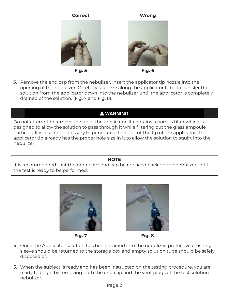#### **Correct Wrong**









3. Remove the end cap from the nebulizer. Insert the applicator tip nozzle into the opening of the nebulizer. Carefully squeeze along the applicator tube to transfer the solution from the applicator down into the nebulizer until the applicator is completely drained of the solution. (Fig. 7 and Fig. 8).

# **A WARNING**

Do not attempt to remove the tip of the applicator. It contains a porous filter which is designed to allow the solution to pass through it while filtering out the glass ampoule particles. It is also not necessary to puncture a hole or cut the tip of the applicator. The applicator tip already has the proper hole size in it to allow the solution to squirt into the nebulizer.

# **NOTE**

It is recommended that the protective end cap be replaced back on the nebulizer until the test is ready to be performed.









- 4. Once the Applicator solution has been drained into the nebulizer, protective crushing sleeve should be returned to the storage box and empty solution tube should be safely disposed of.
- 5. When the subject is ready and has been instructed on the testing procedure, you are ready to begin by removing both the end cap and the vent plugs of the test solution nebulizer.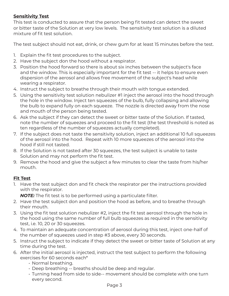# **Sensitivity Test**

This test is conducted to assure that the person being fit tested can detect the sweet or bitter taste of the Solution at very low levels. The sensitivity test solution is a diluted mixture of fit test solution.

The test subject should not eat, drink, or chew gum for at least 15 minutes before the test.

- 1. Explain the fit test procedures to the subject.
- 2. Have the subject don the hood without a respirator.
- 3. Position the hood forward so there is about six inches between the subject's face and the window. This is especially important for the fit test -- it helps to ensure even dispersion of the aerosol and allows free movement of the subject's head while wearing a respirator.
- 4. Instruct the subject to breathe through their mouth with tongue extended.
- 5. Using the sensitivity test solution nebulizer #1 inject the aerosol into the hood through the hole in the window. Inject ten squeezes of the bulb, fully collapsing and allowing the bulb to expand fully on each squeeze. The nozzle is directed away from the nose and mouth of the person being tested.
- 6. Ask the subject if they can detect the sweet or bitter taste of the Solution. If tasted, note the number of squeezes and proceed to the fit test (the test threshold is noted as ten regardless of the number of squeezes actually completed).
- 7. If the subject does not taste the sensitivity solution, inject an additional 10 full squeezes of the aerosol into the hood. Repeat with 10 more squeezes of the aerosol into the hood if still not tasted.
- 8. If the Solution is not tasted after 30 squeezes, the test subject is unable to taste Solution and may not perform the fit test.
- 9. Remove the hood and give the subject a few minutes to clear the taste from his/her mouth.

# **Fit Test**

1. Have the test subject don and fit check the respirator per the instructions provided with the respirator.

*NOTE:* The fit test is to be performed using a particulate filter.

- 2. Have the test subject don and position the hood as before, and to breathe through their mouth.
- 3. Using the fit test solution nebulizer #2, inject the fit test aerosol through the hole in the hood using the same number of full bulb squeezes as required in the sensitivity test, i.e. 10, 20 or 30 squeezes.
- 4. To maintain an adequate concentration of aerosol during this test, inject one-half of the number of squeezes used in step #3 above, every 30 seconds.
- 5. Instruct the subject to indicate if they detect the sweet or bitter taste of Solution at any time during the test.
- 6. After the initial aerosol is injected, instruct the test subject to perform the following exercises for 60 seconds each\*
	- Normal breathing.
	- Deep breathing -- breaths should be deep and regular.
	- Turning head from side to side-- movement should be complete with one turn every second.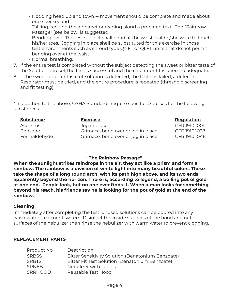- Nodding head up and town -- movement should be complete and made about once per second.
- Talking, reciting the alphabet or reading aloud a prepared text. The "Rainbow Passage" (see below) is suggested.
- Bending over- The test subject shall bend at the waist as if he/she were to touch his/her toes. Jogging in place shall be substituted for this exercise in those test environments such as shroud type QNFT or QLFT units that do not permit bending over at the waist.
- Normal breathing.
- 7. If the entire test is completed without the subject detecting the sweet or bitter taste of the Solution aerosol, the test is successful and the respirator fit is deemed adequate.
- 8. If the sweet or bitter taste of Solution is detected, the test has failed, a different Respirator must be tried, and the entire procedure is repeated (threshold screening and fit testing).

\* In addition to the above, OSHA Standards require specific exercises for the following substances:

| <b>Substance</b> | <b>Exercise</b>                    | Regulation    |
|------------------|------------------------------------|---------------|
| Asbestos         | Jog in place                       | CFR 1910.1001 |
| Benzene          | Grimace, bend over or jog in place | CFR 1910.1028 |
| Formaldehyde     | Grimace, bend over or jog in place | CFR 1910.1048 |

# **"The Rainbow Passage"**

**When the sunlight strikes raindrops in the air, they act like a prism and form a rainbow. The rainbow is a division of white light into many beautiful colors. These take the shape of a long round arch, with its path high above, and its two ends apparently beyond the horizon. There is, according to legend, a boiling pot of gold at one end. People look, but no one ever finds it. When a man looks for something beyond his reach, his friends say he is looking for the pot of gold at the end of the rainbow.**

# **Cleaning**

Immediately after completing the test, unused solutions can be poured into any wastewater treatment system. Disinfect the inside surfaces of the hood and outer surfaces of the nebulizer then rinse the nebulizer with warm water to prevent clogging.

# **REPLACEMENT PARTS**

| Description                                       |
|---------------------------------------------------|
| Bitter Sensitivity Solution (Denatonium Benzoate) |
| Bitter Fit Test Solution (Denatonium Benzoate)    |
| Nebulizer with Labels                             |
| Reusable Test Hood                                |
|                                                   |